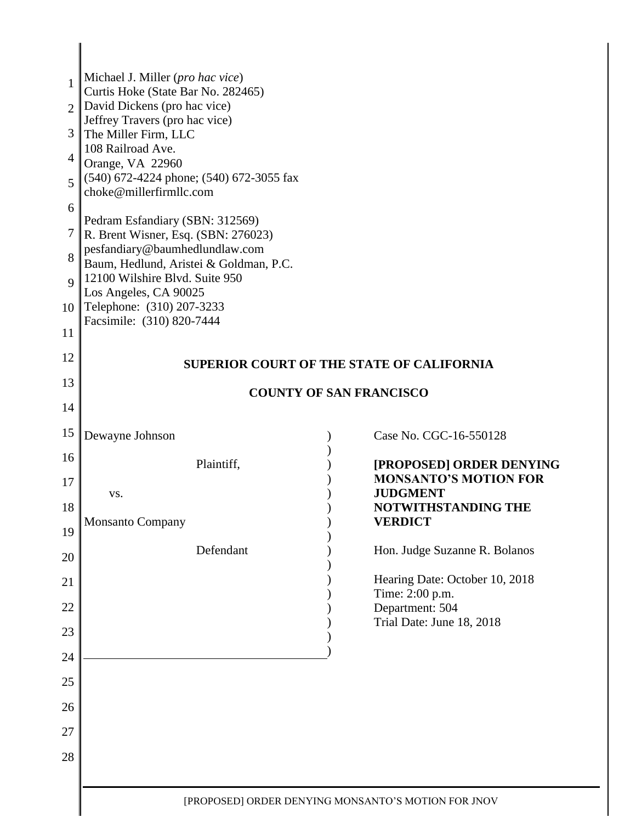| 1<br>$\overline{2}$<br>3<br>4<br>5 | Michael J. Miller (pro hac vice)<br>Curtis Hoke (State Bar No. 282465)<br>David Dickens (pro hac vice)<br>Jeffrey Travers (pro hac vice)<br>The Miller Firm, LLC<br>108 Railroad Ave.<br>Orange, VA 22960<br>(540) 672-4224 phone; (540) 672-3055 fax<br>choke@millerfirmllc.com |                                                          |
|------------------------------------|----------------------------------------------------------------------------------------------------------------------------------------------------------------------------------------------------------------------------------------------------------------------------------|----------------------------------------------------------|
| 6<br>7                             | Pedram Esfandiary (SBN: 312569)                                                                                                                                                                                                                                                  |                                                          |
| 8                                  | R. Brent Wisner, Esq. (SBN: 276023)<br>pesfandiary@baumhedlundlaw.com                                                                                                                                                                                                            |                                                          |
| $\mathbf Q$                        | Baum, Hedlund, Aristei & Goldman, P.C.<br>12100 Wilshire Blvd. Suite 950                                                                                                                                                                                                         |                                                          |
| 10                                 | Los Angeles, CA 90025<br>Telephone: (310) 207-3233                                                                                                                                                                                                                               |                                                          |
| 11                                 | Facsimile: (310) 820-7444                                                                                                                                                                                                                                                        |                                                          |
| 12                                 |                                                                                                                                                                                                                                                                                  | <b>SUPERIOR COURT OF THE STATE OF CALIFORNIA</b>         |
| 13                                 |                                                                                                                                                                                                                                                                                  | <b>COUNTY OF SAN FRANCISCO</b>                           |
| 14                                 |                                                                                                                                                                                                                                                                                  |                                                          |
| 15                                 | Dewayne Johnson                                                                                                                                                                                                                                                                  | Case No. CGC-16-550128                                   |
| 16                                 | Plaintiff,                                                                                                                                                                                                                                                                       | [PROPOSED] ORDER DENYING<br><b>MONSANTO'S MOTION FOR</b> |
| 17                                 | VS.                                                                                                                                                                                                                                                                              | <b>JUDGMENT</b>                                          |
| 18<br>19                           | <b>Monsanto Company</b>                                                                                                                                                                                                                                                          | NOTWITHSTANDING THE<br><b>VERDICT</b>                    |
| 20                                 | Defendant                                                                                                                                                                                                                                                                        | Hon. Judge Suzanne R. Bolanos                            |
| 21                                 |                                                                                                                                                                                                                                                                                  | Hearing Date: October 10, 2018                           |
| 22                                 |                                                                                                                                                                                                                                                                                  | Time: 2:00 p.m.<br>Department: 504                       |
| 23                                 |                                                                                                                                                                                                                                                                                  | Trial Date: June 18, 2018                                |
| 24                                 |                                                                                                                                                                                                                                                                                  |                                                          |
| 25                                 |                                                                                                                                                                                                                                                                                  |                                                          |
| 26                                 |                                                                                                                                                                                                                                                                                  |                                                          |
| 27                                 |                                                                                                                                                                                                                                                                                  |                                                          |
| 28                                 |                                                                                                                                                                                                                                                                                  |                                                          |
|                                    |                                                                                                                                                                                                                                                                                  |                                                          |
|                                    |                                                                                                                                                                                                                                                                                  | [PROPOSED] ORDER DENYING MONSANTO'S MOTION FOR JNOV      |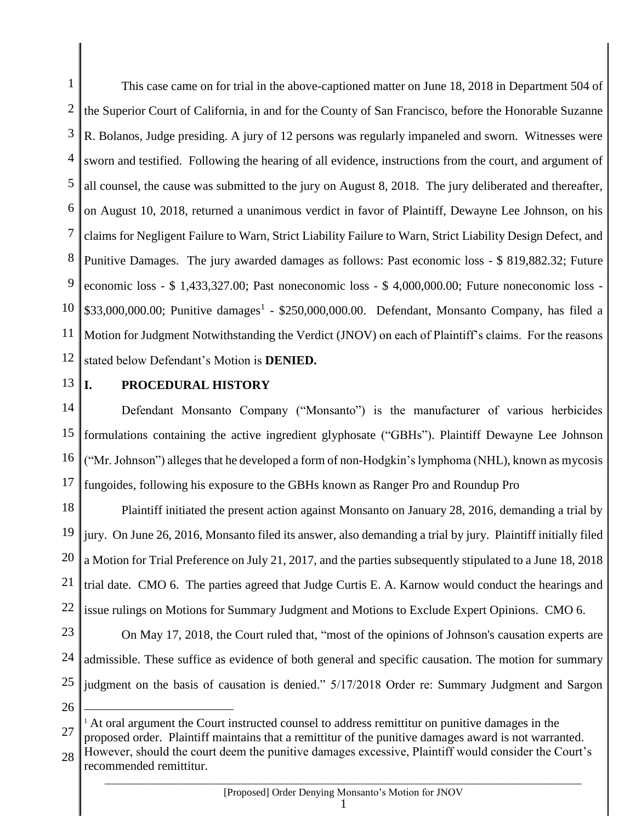1 2 3 4 5 6 7 8 9 10 11 12 This case came on for trial in the above-captioned matter on June 18, 2018 in Department 504 of the Superior Court of California, in and for the County of San Francisco, before the Honorable Suzanne R. Bolanos, Judge presiding. A jury of 12 persons was regularly impaneled and sworn. Witnesses were sworn and testified. Following the hearing of all evidence, instructions from the court, and argument of all counsel, the cause was submitted to the jury on August 8, 2018. The jury deliberated and thereafter, on August 10, 2018, returned a unanimous verdict in favor of Plaintiff, Dewayne Lee Johnson, on his claims for Negligent Failure to Warn, Strict Liability Failure to Warn, Strict Liability Design Defect, and Punitive Damages. The jury awarded damages as follows: Past economic loss - \$ 819,882.32; Future economic loss - \$ 1,433,327.00; Past noneconomic loss - \$ 4,000,000.00; Future noneconomic loss -  $$33,000,000.00$ ; Punitive damages<sup>1</sup> -  $$250,000,000.00$ . Defendant, Monsanto Company, has filed a Motion for Judgment Notwithstanding the Verdict (JNOV) on each of Plaintiff's claims. For the reasons stated below Defendant's Motion is **DENIED.**

13

## **I. PROCEDURAL HISTORY**

14 15 16 17 Defendant Monsanto Company ("Monsanto") is the manufacturer of various herbicides formulations containing the active ingredient glyphosate ("GBHs"). Plaintiff Dewayne Lee Johnson ("Mr. Johnson") alleges that he developed a form of non-Hodgkin's lymphoma (NHL), known as mycosis fungoides, following his exposure to the GBHs known as Ranger Pro and Roundup Pro

18 19 20 21 22 Plaintiff initiated the present action against Monsanto on January 28, 2016, demanding a trial by jury. On June 26, 2016, Monsanto filed its answer, also demanding a trial by jury. Plaintiff initially filed a Motion for Trial Preference on July 21, 2017, and the parties subsequently stipulated to a June 18, 2018 trial date. CMO 6. The parties agreed that Judge Curtis E. A. Karnow would conduct the hearings and issue rulings on Motions for Summary Judgment and Motions to Exclude Expert Opinions. CMO 6.

23 24 25 On May 17, 2018, the Court ruled that, "most of the opinions of Johnson's causation experts are admissible. These suffice as evidence of both general and specific causation. The motion for summary judgment on the basis of causation is denied." 5/17/2018 Order re: Summary Judgment and Sargon

26

 $\overline{a}$ 

27 <sup>1</sup> At oral argument the Court instructed counsel to address remittitur on punitive damages in the proposed order. Plaintiff maintains that a remittitur of the punitive damages award is not warranted.

28  $\_$  ,  $\_$  ,  $\_$  ,  $\_$  ,  $\_$  ,  $\_$  ,  $\_$  ,  $\_$  ,  $\_$  ,  $\_$  ,  $\_$  ,  $\_$  ,  $\_$  ,  $\_$  ,  $\_$  ,  $\_$  ,  $\_$  ,  $\_$  ,  $\_$  ,  $\_$  ,  $\_$  ,  $\_$  ,  $\_$  ,  $\_$  ,  $\_$  ,  $\_$  ,  $\_$  ,  $\_$  ,  $\_$  ,  $\_$  ,  $\_$  ,  $\_$  ,  $\_$  ,  $\_$  ,  $\_$  ,  $\_$  ,  $\_$  , However, should the court deem the punitive damages excessive, Plaintiff would consider the Court's recommended remittitur.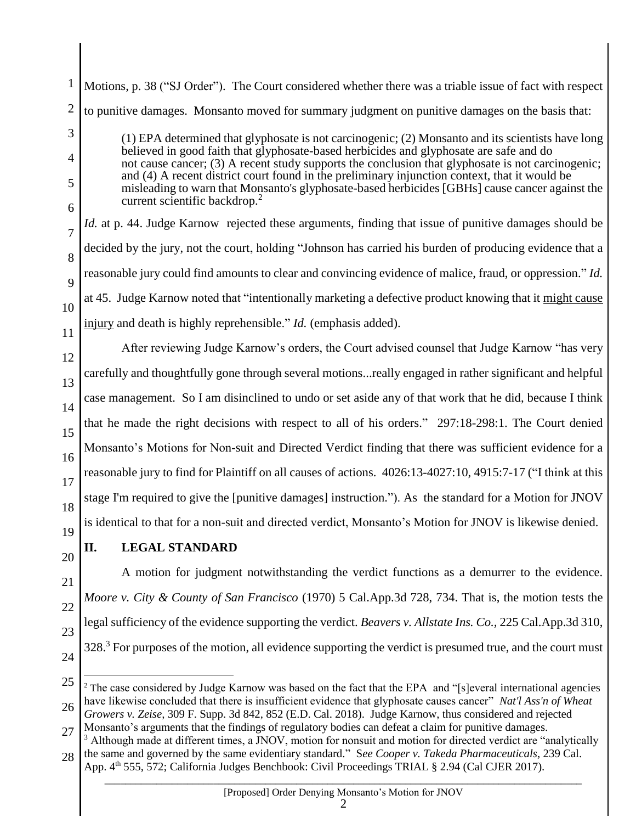1 2 Motions, p. 38 ("SJ Order"). The Court considered whether there was a triable issue of fact with respect to punitive damages. Monsanto moved for summary judgment on punitive damages on the basis that:

(1) EPA determined that glyphosate is not carcinogenic; (2) Monsanto and its scientists have long believed in good faith that glyphosate-based herbicides and glyphosate are safe and do not cause cancer; (3) A recent study supports the conclusion that glyphosate is not carcinogenic; and (4) A recent district court found in the preliminary injunction context, that it would be misleading to warn that Monsanto's glyphosate-based herbicides [GBHs] cause cancer against the current scientific backdrop.<sup>2</sup>

10 *Id.* at p. 44. Judge Karnow rejected these arguments, finding that issue of punitive damages should be decided by the jury, not the court, holding "Johnson has carried his burden of producing evidence that a reasonable jury could find amounts to clear and convincing evidence of malice, fraud, or oppression." *Id.* at 45. Judge Karnow noted that "intentionally marketing a defective product knowing that it might cause injury and death is highly reprehensible." *Id.* (emphasis added).

12 13 14 15 16 17 18 19 After reviewing Judge Karnow's orders, the Court advised counsel that Judge Karnow "has very carefully and thoughtfully gone through several motions...really engaged in rather significant and helpful case management. So I am disinclined to undo or set aside any of that work that he did, because I think that he made the right decisions with respect to all of his orders." 297:18-298:1. The Court denied Monsanto's Motions for Non-suit and Directed Verdict finding that there was sufficient evidence for a reasonable jury to find for Plaintiff on all causes of actions. 4026:13-4027:10, 4915:7-17 ("I think at this stage I'm required to give the [punitive damages] instruction."). As the standard for a Motion for JNOV is identical to that for a non-suit and directed verdict, Monsanto's Motion for JNOV is likewise denied.

20

3

4

5

6

7

8

9

11

# **II. LEGAL STANDARD**

21 22 23 A motion for judgment notwithstanding the verdict functions as a demurrer to the evidence. *Moore v. City & County of San Francisco* (1970) 5 Cal.App.3d 728, 734. That is, the motion tests the legal sufficiency of the evidence supporting the verdict. *Beavers v. Allstate Ins. Co.,* 225 Cal.App.3d 310,  $328<sup>3</sup>$  For purposes of the motion, all evidence supporting the verdict is presumed true, and the court must

24

 $\overline{a}$ 

2

<sup>25</sup> 26 <sup>2</sup> The case considered by Judge Karnow was based on the fact that the EPA and "[s]everal international agencies have likewise concluded that there is insufficient evidence that glyphosate causes cancer" *Nat'l Ass'n of Wheat Growers v. Zeise,* 309 F. Supp. 3d 842, 852 (E.D. Cal. 2018). Judge Karnow, thus considered and rejected

<sup>27</sup> Monsanto's arguments that the findings of regulatory bodies can defeat a claim for punitive damages.

<sup>28</sup>  $3$  Although made at different times, a JNOV, motion for nonsuit and motion for directed verdict are "analytically the same and governed by the same evidentiary standard." S*ee Cooper v. Takeda Pharmaceuticals*, 239 Cal.

App. 4<sup>th</sup> 555, 572; California Judges Benchbook: Civil Proceedings TRIAL § 2.94 (Cal CJER 2017).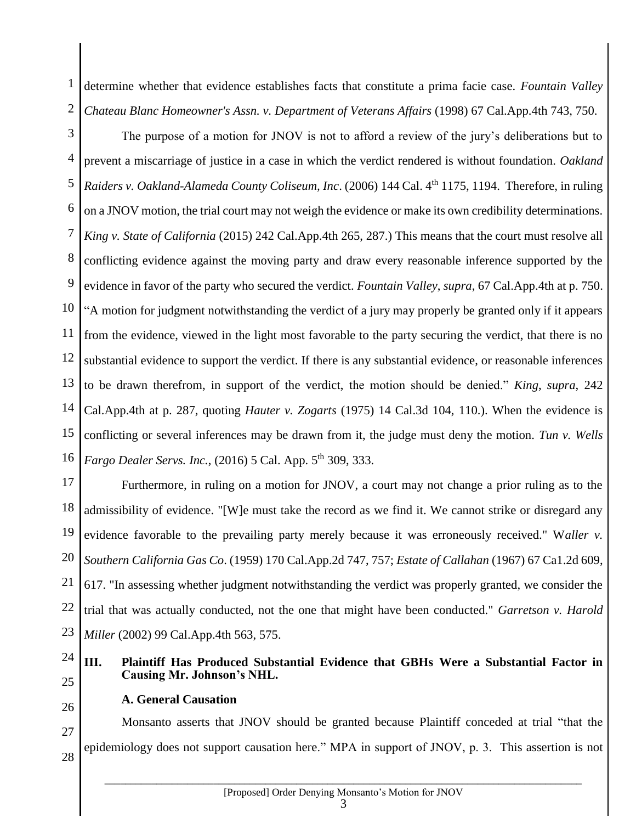1 2 determine whether that evidence establishes facts that constitute a prima facie case. *Fountain Valley Chateau Blanc Homeowner's Assn. v. Department of Veterans Affairs* (1998) 67 Cal.App.4th 743, 750.

3 4 5 6 7 8 9 10 11 12 13 14 15 16 The purpose of a motion for JNOV is not to afford a review of the jury's deliberations but to prevent a miscarriage of justice in a case in which the verdict rendered is without foundation. *Oakland Raiders v. Oakland-Alameda County Coliseum, Inc*. (2006) 144 Cal. 4th 1175, 1194. Therefore, in ruling on a JNOV motion, the trial court may not weigh the evidence or make its own credibility determinations. *King v. State of California* (2015) 242 Cal.App.4th 265, 287.) This means that the court must resolve all conflicting evidence against the moving party and draw every reasonable inference supported by the evidence in favor of the party who secured the verdict. *Fountain Valley*, *supra*, 67 Cal.App.4th at p. 750. "A motion for judgment notwithstanding the verdict of a jury may properly be granted only if it appears from the evidence, viewed in the light most favorable to the party securing the verdict, that there is no substantial evidence to support the verdict. If there is any substantial evidence, or reasonable inferences to be drawn therefrom, in support of the verdict, the motion should be denied." *King*, *supra*, 242 Cal.App.4th at p. 287, quoting *Hauter v. Zogarts* (1975) 14 Cal.3d 104, 110.). When the evidence is conflicting or several inferences may be drawn from it, the judge must deny the motion. *Tun v. Wells Fargo Dealer Servs. Inc.*, (2016) 5 Cal. App. 5<sup>th</sup> 309, 333.

17 18 19 20 21 22 23 Furthermore, in ruling on a motion for JNOV, a court may not change a prior ruling as to the admissibility of evidence. "[W]e must take the record as we find it. We cannot strike or disregard any evidence favorable to the prevailing party merely because it was erroneously received." W*aller v. Southern California Gas Co*. (1959) 170 Cal.App.2d 747, 757; *Estate of Callahan* (1967) 67 Ca1.2d 609, 617. "In assessing whether judgment notwithstanding the verdict was properly granted, we consider the trial that was actually conducted, not the one that might have been conducted." *Garretson v. Harold Miller* (2002) 99 Cal.App.4th 563, 575.

#### 24 25 **III. Plaintiff Has Produced Substantial Evidence that GBHs Were a Substantial Factor in Causing Mr. Johnson's NHL.**

26

### **A. General Causation**

27 28 Monsanto asserts that JNOV should be granted because Plaintiff conceded at trial "that the epidemiology does not support causation here." MPA in support of JNOV, p. 3. This assertion is not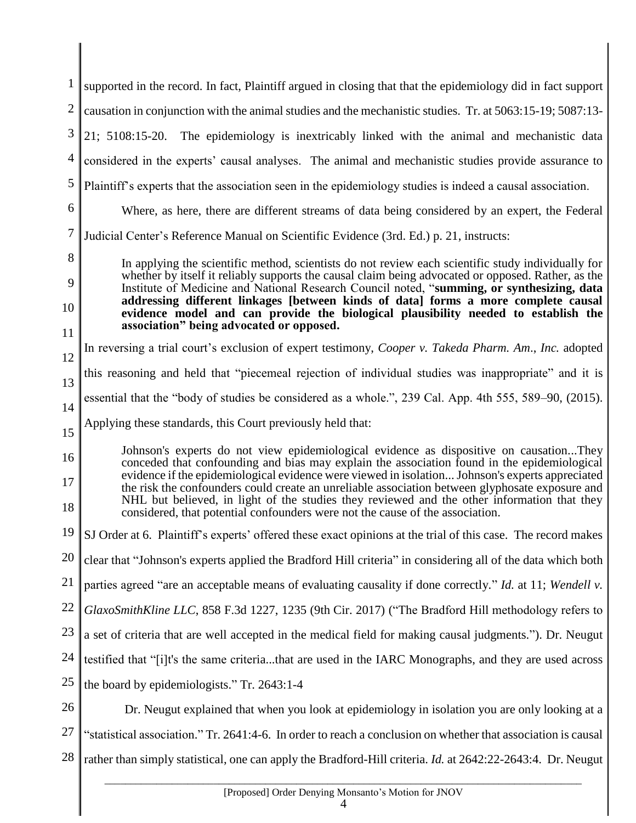| $\mathbf{1}$   | supported in the record. In fact, Plaintiff argued in closing that that the epidemiology did in fact support                                                                                       |
|----------------|----------------------------------------------------------------------------------------------------------------------------------------------------------------------------------------------------|
| $\overline{2}$ | causation in conjunction with the animal studies and the mechanistic studies. Tr. at 5063:15-19; 5087:13-                                                                                          |
| 3              | 21; 5108:15-20. The epidemiology is inextricably linked with the animal and mechanistic data                                                                                                       |
| $\overline{4}$ | considered in the experts' causal analyses. The animal and mechanistic studies provide assurance to                                                                                                |
| 5              | Plaintiff's experts that the association seen in the epidemiology studies is indeed a causal association.                                                                                          |
| 6              | Where, as here, there are different streams of data being considered by an expert, the Federal                                                                                                     |
| 7              | Judicial Center's Reference Manual on Scientific Evidence (3rd. Ed.) p. 21, instructs:                                                                                                             |
| 8              | In applying the scientific method, scientists do not review each scientific study individually for                                                                                                 |
| 9              | whether by itself it reliably supports the causal claim being advocated or opposed. Rather, as the<br>Institute of Medicine and National Research Council noted, "summing, or synthesizing, data   |
| 10             | addressing different linkages [between kinds of data] forms a more complete causal<br>evidence model and can provide the biological plausibility needed to establish the                           |
| 11             | association" being advocated or opposed.                                                                                                                                                           |
| 12             | In reversing a trial court's exclusion of expert testimony, Cooper v. Takeda Pharm. Am., Inc. adopted                                                                                              |
| 13             | this reasoning and held that "piecemeal rejection of individual studies was inappropriate" and it is                                                                                               |
| 14             | essential that the "body of studies be considered as a whole.", 239 Cal. App. 4th 555, 589–90, (2015).                                                                                             |
| 15             | Applying these standards, this Court previously held that:                                                                                                                                         |
| 16             | Johnson's experts do not view epidemiological evidence as dispositive on causationThey<br>conceded that confounding and bias may explain the association found in the epidemiological              |
| 17             | evidence if the epidemiological evidence were viewed in isolation Johnson's experts appreciated<br>the risk the confounders could create an unreliable association between glyphosate exposure and |
| 18             | NHL but believed, in light of the studies they reviewed and the other information that they<br>considered, that potential confounders were not the cause of the association.                       |
| 19             | SJ Order at 6. Plaintiff's experts' offered these exact opinions at the trial of this case. The record makes                                                                                       |
| 20             | clear that "Johnson's experts applied the Bradford Hill criteria" in considering all of the data which both                                                                                        |
| 21             | parties agreed "are an acceptable means of evaluating causality if done correctly." Id. at 11; Wendell v.                                                                                          |
| 22             | GlaxoSmithKline LLC, 858 F.3d 1227, 1235 (9th Cir. 2017) ("The Bradford Hill methodology refers to                                                                                                 |
| 23             | a set of criteria that are well accepted in the medical field for making causal judgments."). Dr. Neugut                                                                                           |
| 24             | testified that "[i]t's the same criteriathat are used in the IARC Monographs, and they are used across                                                                                             |
| 25             | the board by epidemiologists." Tr. 2643:1-4                                                                                                                                                        |
| 26             | Dr. Neugut explained that when you look at epidemiology in isolation you are only looking at a                                                                                                     |
| 27             | "statistical association." Tr. 2641:4-6. In order to reach a conclusion on whether that association is causal                                                                                      |
| 28             |                                                                                                                                                                                                    |
|                | rather than simply statistical, one can apply the Bradford-Hill criteria. Id. at 2642:22-2643:4. Dr. Neugut                                                                                        |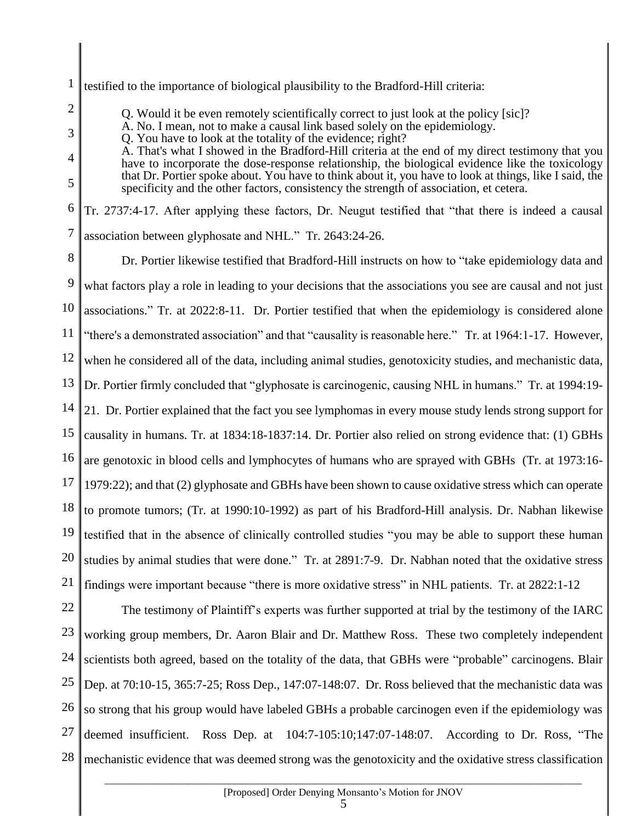1 testified to the importance of biological plausibility to the Bradford-Hill criteria:

Q. Would it be even remotely scientifically correct to just look at the policy [sic]?

A. No. I mean, not to make a causal link based solely on the epidemiology.

Q. You have to look at the totality of the evidence; right?

2

3

4

5

A. That's what I showed in the Bradford-Hill criteria at the end of my direct testimony that you have to incorporate the dose-response relationship, the biological evidence like the toxicology that Dr. Portier spoke about. You have to think about it, you have to look at things, like I said, the specificity and the other factors, consistency the strength of association, et cetera.

6 7 Tr. 2737:4-17. After applying these factors, Dr. Neugut testified that "that there is indeed a causal association between glyphosate and NHL." Tr. 2643:24-26.

8 9 10 11 12 13 14 15 16 17 18 19 20 21 Dr. Portier likewise testified that Bradford-Hill instructs on how to "take epidemiology data and what factors play a role in leading to your decisions that the associations you see are causal and not just associations." Tr. at 2022:8-11. Dr. Portier testified that when the epidemiology is considered alone "there's a demonstrated association" and that "causality is reasonable here." Tr. at 1964:1-17. However, when he considered all of the data, including animal studies, genotoxicity studies, and mechanistic data, Dr. Portier firmly concluded that "glyphosate is carcinogenic, causing NHL in humans." Tr. at 1994:19- 21. Dr. Portier explained that the fact you see lymphomas in every mouse study lends strong support for causality in humans. Tr. at 1834:18-1837:14. Dr. Portier also relied on strong evidence that: (1) GBHs are genotoxic in blood cells and lymphocytes of humans who are sprayed with GBHs (Tr. at 1973:16- 1979:22); and that (2) glyphosate and GBHs have been shown to cause oxidative stress which can operate to promote tumors; (Tr. at 1990:10-1992) as part of his Bradford-Hill analysis. Dr. Nabhan likewise testified that in the absence of clinically controlled studies "you may be able to support these human studies by animal studies that were done." Tr. at 2891:7-9. Dr. Nabhan noted that the oxidative stress findings were important because "there is more oxidative stress" in NHL patients. Tr. at 2822:1-12

22 23 24 25 26 27 28 The testimony of Plaintiff's experts was further supported at trial by the testimony of the IARC working group members, Dr. Aaron Blair and Dr. Matthew Ross. These two completely independent scientists both agreed, based on the totality of the data, that GBHs were "probable" carcinogens. Blair Dep. at 70:10-15, 365:7-25; Ross Dep., 147:07-148:07. Dr. Ross believed that the mechanistic data was so strong that his group would have labeled GBHs a probable carcinogen even if the epidemiology was deemed insufficient. Ross Dep. at 104:7-105:10;147:07-148:07. According to Dr. Ross, "The mechanistic evidence that was deemed strong was the genotoxicity and the oxidative stress classification

5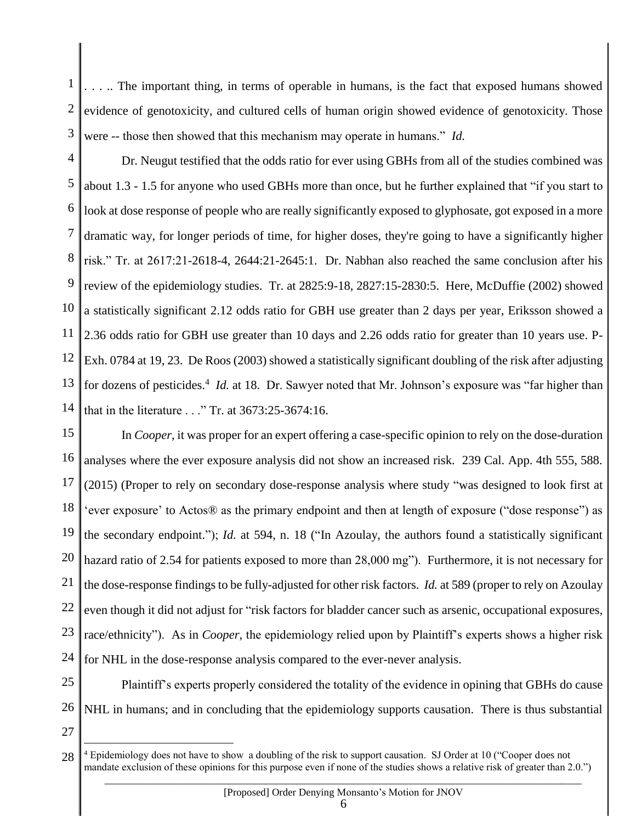1 2 3 . . . .. The important thing, in terms of operable in humans, is the fact that exposed humans showed evidence of genotoxicity, and cultured cells of human origin showed evidence of genotoxicity. Those were -- those then showed that this mechanism may operate in humans." *Id.*

4 5 6 7 8 9 10 11 12 13 14 Dr. Neugut testified that the odds ratio for ever using GBHs from all of the studies combined was about 1.3 - 1.5 for anyone who used GBHs more than once, but he further explained that "if you start to look at dose response of people who are really significantly exposed to glyphosate, got exposed in a more dramatic way, for longer periods of time, for higher doses, they're going to have a significantly higher risk." Tr. at 2617:21-2618-4, 2644:21-2645:1. Dr. Nabhan also reached the same conclusion after his review of the epidemiology studies. Tr. at 2825:9-18, 2827:15-2830:5. Here, McDuffie (2002) showed a statistically significant 2.12 odds ratio for GBH use greater than 2 days per year, Eriksson showed a 2.36 odds ratio for GBH use greater than 10 days and 2.26 odds ratio for greater than 10 years use. P-Exh. 0784 at 19, 23. De Roos (2003) showed a statistically significant doubling of the risk after adjusting for dozens of pesticides.<sup>4</sup> *Id.* at 18. Dr. Sawyer noted that Mr. Johnson's exposure was "far higher than that in the literature . . ." Tr. at 3673:25-3674:16.

15 16 17 18 19 20 21 22 23 24 In *Cooper*, it was proper for an expert offering a case-specific opinion to rely on the dose-duration analyses where the ever exposure analysis did not show an increased risk. 239 Cal. App. 4th 555, 588. (2015) (Proper to rely on secondary dose-response analysis where study "was designed to look first at 'ever exposure' to Actos® as the primary endpoint and then at length of exposure ("dose response") as the secondary endpoint."); *Id.* at 594, n. 18 ("In Azoulay, the authors found a statistically significant hazard ratio of 2.54 for patients exposed to more than 28,000 mg"). Furthermore, it is not necessary for the dose-response findings to be fully-adjusted for other risk factors. *Id.* at 589 (proper to rely on Azoulay even though it did not adjust for "risk factors for bladder cancer such as arsenic, occupational exposures, race/ethnicity"). As in *Cooper*, the epidemiology relied upon by Plaintiff's experts shows a higher risk for NHL in the dose-response analysis compared to the ever-never analysis.

25 26 Plaintiff's experts properly considered the totality of the evidence in opining that GBHs do cause NHL in humans; and in concluding that the epidemiology supports causation. There is thus substantial

27

<sup>28</sup> <sup>4</sup> Epidemiology does not have to show a doubling of the risk to support causation. SJ Order at 10 ("Cooper does not mandate exclusion of these opinions for this purpose even if none of the studies shows a relative risk of greater than 2.0.")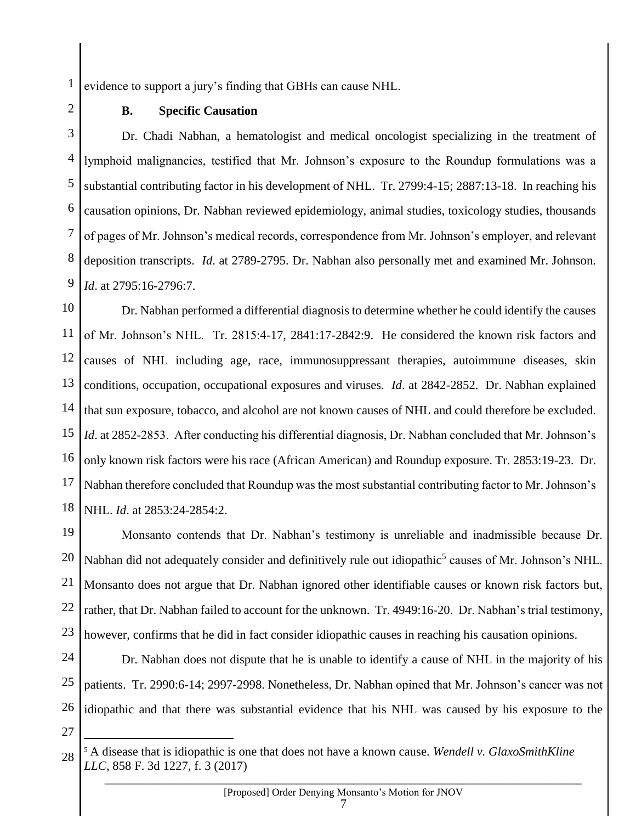1 evidence to support a jury's finding that GBHs can cause NHL.

2

### **B. Specific Causation**

3 4 5 6 7 8 9 Dr. Chadi Nabhan, a hematologist and medical oncologist specializing in the treatment of lymphoid malignancies, testified that Mr. Johnson's exposure to the Roundup formulations was a substantial contributing factor in his development of NHL. Tr. 2799:4-15; 2887:13-18. In reaching his causation opinions, Dr. Nabhan reviewed epidemiology, animal studies, toxicology studies, thousands of pages of Mr. Johnson's medical records, correspondence from Mr. Johnson's employer, and relevant deposition transcripts. *Id*. at 2789-2795. Dr. Nabhan also personally met and examined Mr. Johnson. *Id*. at 2795:16-2796:7.

10 11 12 13 14 15 16 17 18 Dr. Nabhan performed a differential diagnosis to determine whether he could identify the causes of Mr. Johnson's NHL. Tr. 2815:4-17, 2841:17-2842:9. He considered the known risk factors and causes of NHL including age, race, immunosuppressant therapies, autoimmune diseases, skin conditions, occupation, occupational exposures and viruses. *Id*. at 2842-2852. Dr. Nabhan explained that sun exposure, tobacco, and alcohol are not known causes of NHL and could therefore be excluded. *Id*. at 2852-2853. After conducting his differential diagnosis, Dr. Nabhan concluded that Mr. Johnson's only known risk factors were his race (African American) and Roundup exposure. Tr. 2853:19-23. Dr. Nabhan therefore concluded that Roundup was the most substantial contributing factor to Mr. Johnson's NHL. *Id*. at 2853:24-2854:2.

19 20 21 22 23 Monsanto contends that Dr. Nabhan's testimony is unreliable and inadmissible because Dr. Nabhan did not adequately consider and definitively rule out idiopathic<sup>5</sup> causes of Mr. Johnson's NHL. Monsanto does not argue that Dr. Nabhan ignored other identifiable causes or known risk factors but, rather, that Dr. Nabhan failed to account for the unknown. Tr. 4949:16-20. Dr. Nabhan's trial testimony, however, confirms that he did in fact consider idiopathic causes in reaching his causation opinions.

24 25 26 Dr. Nabhan does not dispute that he is unable to identify a cause of NHL in the majority of his patients. Tr. 2990:6-14; 2997-2998. Nonetheless, Dr. Nabhan opined that Mr. Johnson's cancer was not idiopathic and that there was substantial evidence that his NHL was caused by his exposure to the

27

<sup>28</sup> <sup>5</sup> A disease that is idiopathic is one that does not have a known cause. *Wendell v. GlaxoSmithKline LLC*, 858 F. 3d 1227, f. 3 (2017)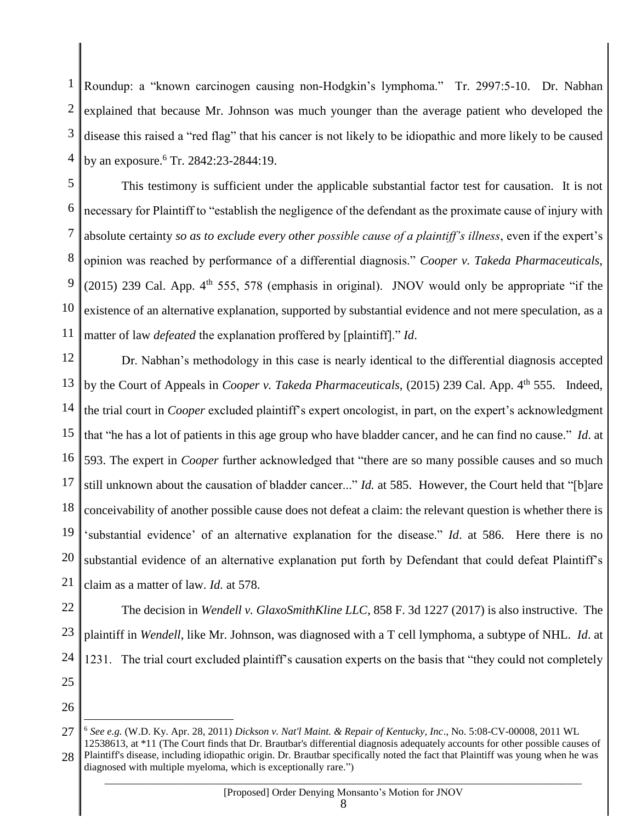1 2 3 4 Roundup: a "known carcinogen causing non-Hodgkin's lymphoma." Tr. 2997:5-10. Dr. Nabhan explained that because Mr. Johnson was much younger than the average patient who developed the disease this raised a "red flag" that his cancer is not likely to be idiopathic and more likely to be caused by an exposure. <sup>6</sup> Tr. 2842:23-2844:19.

5 6 7 8 9 10 11 This testimony is sufficient under the applicable substantial factor test for causation. It is not necessary for Plaintiff to "establish the negligence of the defendant as the proximate cause of injury with absolute certainty *so as to exclude every other possible cause of a plaintiff's illness*, even if the expert's opinion was reached by performance of a differential diagnosis." *Cooper v. Takeda Pharmaceuticals,* (2015) 239 Cal. App.  $4<sup>th</sup> 555$ , 578 (emphasis in original). JNOV would only be appropriate "if the existence of an alternative explanation, supported by substantial evidence and not mere speculation, as a matter of law *defeated* the explanation proffered by [plaintiff]." *Id*.

12 13 14 15 16 17 18 19 20 21 Dr. Nabhan's methodology in this case is nearly identical to the differential diagnosis accepted by the Court of Appeals in *Cooper v. Takeda Pharmaceuticals,* (2015) 239 Cal. App. 4th 555. Indeed, the trial court in *Cooper* excluded plaintiff's expert oncologist, in part, on the expert's acknowledgment that "he has a lot of patients in this age group who have bladder cancer, and he can find no cause." *Id*. at 593. The expert in *Cooper* further acknowledged that "there are so many possible causes and so much still unknown about the causation of bladder cancer..." *Id.* at 585. However, the Court held that "[b]are conceivability of another possible cause does not defeat a claim: the relevant question is whether there is 'substantial evidence' of an alternative explanation for the disease." *Id*. at 586. Here there is no substantial evidence of an alternative explanation put forth by Defendant that could defeat Plaintiff's claim as a matter of law. *Id.* at 578.

22 23 24 The decision in *Wendell v. GlaxoSmithKline LLC*, 858 F. 3d 1227 (2017) is also instructive. The plaintiff in *Wendell*, like Mr. Johnson, was diagnosed with a T cell lymphoma, a subtype of NHL. *Id*. at 1231. The trial court excluded plaintiff's causation experts on the basis that "they could not completely

25

26

<sup>27</sup> 28 <sup>6</sup> *See e.g.* (W.D. Ky. Apr. 28, 2011) *Dickson v. Nat'l Maint. & Repair of Kentucky, Inc*., No. 5:08-CV-00008, 2011 WL 12538613, at \*11 (The Court finds that Dr. Brautbar's differential diagnosis adequately accounts for other possible causes of Plaintiff's disease, including idiopathic origin. Dr. Brautbar specifically noted the fact that Plaintiff was young when he was diagnosed with multiple myeloma, which is exceptionally rare.")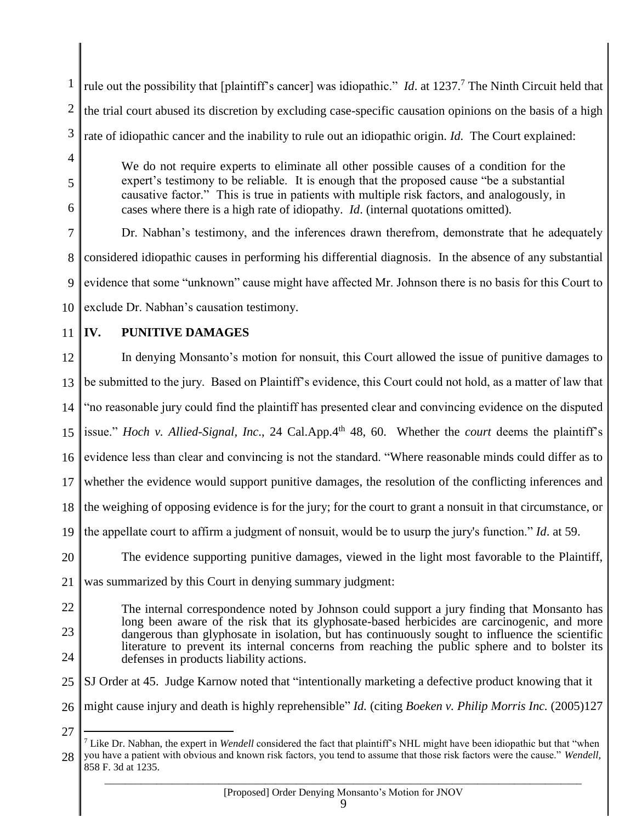1 2 3 4 5 rule out the possibility that [plaintiff's cancer] was idiopathic." *Id.* at 1237.<sup>7</sup> The Ninth Circuit held that the trial court abused its discretion by excluding case-specific causation opinions on the basis of a high rate of idiopathic cancer and the inability to rule out an idiopathic origin. *Id.* The Court explained: We do not require experts to eliminate all other possible causes of a condition for the expert's testimony to be reliable. It is enough that the proposed cause "be a substantial causative factor." This is true in patients with multiple risk factors, and analogously, in

cases where there is a high rate of idiopathy. *Id*. (internal quotations omitted).

7 8 9 10 Dr. Nabhan's testimony, and the inferences drawn therefrom, demonstrate that he adequately considered idiopathic causes in performing his differential diagnosis. In the absence of any substantial evidence that some "unknown" cause might have affected Mr. Johnson there is no basis for this Court to exclude Dr. Nabhan's causation testimony.

11

6

# **IV. PUNITIVE DAMAGES**

12 13 14 15 16 17 18 19 20 In denying Monsanto's motion for nonsuit, this Court allowed the issue of punitive damages to be submitted to the jury. Based on Plaintiff's evidence, this Court could not hold, as a matter of law that "no reasonable jury could find the plaintiff has presented clear and convincing evidence on the disputed issue." *Hoch v. Allied-Signal, Inc*., 24 Cal.App.4th 48, 60. Whether the *court* deems the plaintiff's evidence less than clear and convincing is not the standard. "Where reasonable minds could differ as to whether the evidence would support punitive damages, the resolution of the conflicting inferences and the weighing of opposing evidence is for the jury; for the court to grant a nonsuit in that circumstance, or the appellate court to affirm a judgment of nonsuit, would be to usurp the jury's function." *Id*. at 59. The evidence supporting punitive damages, viewed in the light most favorable to the Plaintiff,

21 was summarized by this Court in denying summary judgment:

- 22
- 23

24

27

The internal correspondence noted by Johnson could support a jury finding that Monsanto has long been aware of the risk that its glyphosate-based herbicides are carcinogenic, and more dangerous than glyphosate in isolation, but has continuously sought to influence the scientific literature to prevent its internal concerns from reaching the public sphere and to bolster its defenses in products liability actions.

25 SJ Order at 45. Judge Karnow noted that "intentionally marketing a defective product knowing that it

26 might cause injury and death is highly reprehensible" *Id.* (citing *Boeken v. Philip Morris Inc.* (2005)127

<sup>28</sup>  $\overline{a}$ <sup>7</sup> Like Dr. Nabhan, the expert in *Wendell* considered the fact that plaintiff's NHL might have been idiopathic but that "when you have a patient with obvious and known risk factors, you tend to assume that those risk factors were the cause." *Wendell,* 858 F. 3d at 1235.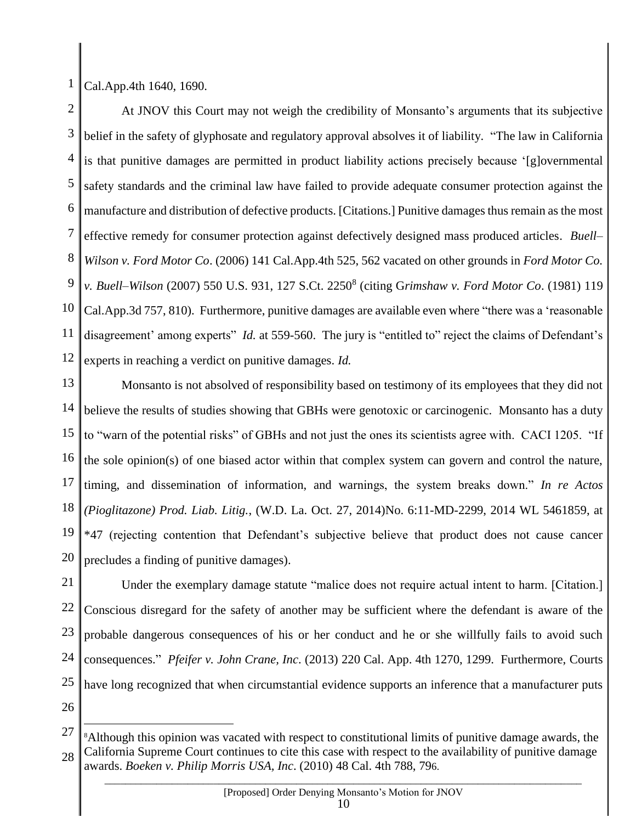1 Cal.App.4th 1640, 1690.

 $\overline{a}$ 

2 3 4 5 6 7 8 9 10 11 12 At JNOV this Court may not weigh the credibility of Monsanto's arguments that its subjective belief in the safety of glyphosate and regulatory approval absolves it of liability. "The law in California is that punitive damages are permitted in product liability actions precisely because '[g]overnmental safety standards and the criminal law have failed to provide adequate consumer protection against the manufacture and distribution of defective products. [Citations.] Punitive damages thus remain as the most effective remedy for consumer protection against defectively designed mass produced articles. *Buell– Wilson v. Ford Motor Co*. (2006) 141 Cal.App.4th 525, 562 vacated on other grounds in *Ford Motor Co. v. Buell–Wilson* (2007) 550 U.S. 931, 127 S.Ct. 2250<sup>8</sup> (citing G*rimshaw v. Ford Motor Co*. (1981) 119 Cal.App.3d 757, 810). Furthermore, punitive damages are available even where "there was a 'reasonable disagreement' among experts" *Id.* at 559-560. The jury is "entitled to" reject the claims of Defendant's experts in reaching a verdict on punitive damages. *Id.*

13 14 15 16 17 18 19 20 Monsanto is not absolved of responsibility based on testimony of its employees that they did not believe the results of studies showing that GBHs were genotoxic or carcinogenic. Monsanto has a duty to "warn of the potential risks" of GBHs and not just the ones its scientists agree with. CACI 1205. "If the sole opinion(s) of one biased actor within that complex system can govern and control the nature, timing, and dissemination of information, and warnings, the system breaks down." *In re Actos (Pioglitazone) Prod. Liab. Litig.*, (W.D. La. Oct. 27, 2014)No. 6:11-MD-2299, 2014 WL 5461859, at \*47 (rejecting contention that Defendant's subjective believe that product does not cause cancer precludes a finding of punitive damages).

21 22 23 24 25 26 Under the exemplary damage statute "malice does not require actual intent to harm. [Citation.] Conscious disregard for the safety of another may be sufficient where the defendant is aware of the probable dangerous consequences of his or her conduct and he or she willfully fails to avoid such consequences." *Pfeifer v. John Crane, Inc*. (2013) 220 Cal. App. 4th 1270, 1299. Furthermore, Courts have long recognized that when circumstantial evidence supports an inference that a manufacturer puts

<sup>27</sup> 28 <sup>8</sup>Although this opinion was vacated with respect to constitutional limits of punitive damage awards, the California Supreme Court continues to cite this case with respect to the availability of punitive damage awards. *Boeken v. Philip Morris USA, Inc*. (2010) 48 Cal. 4th 788, 796.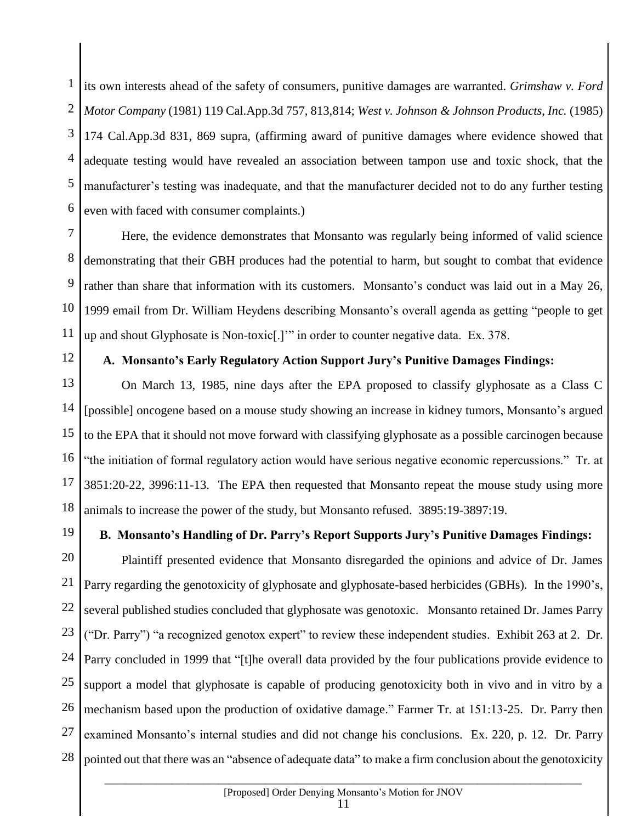1 2 3 4 5 6 its own interests ahead of the safety of consumers, punitive damages are warranted. *Grimshaw v. Ford Motor Company* (1981) 119 Cal.App.3d 757, 813,814; *West v. Johnson & Johnson Products, Inc.* (1985) 174 Cal.App.3d 831, 869 supra, (affirming award of punitive damages where evidence showed that adequate testing would have revealed an association between tampon use and toxic shock, that the manufacturer's testing was inadequate, and that the manufacturer decided not to do any further testing even with faced with consumer complaints.)

7 8 9 10 11 Here, the evidence demonstrates that Monsanto was regularly being informed of valid science demonstrating that their GBH produces had the potential to harm, but sought to combat that evidence rather than share that information with its customers. Monsanto's conduct was laid out in a May 26, 1999 email from Dr. William Heydens describing Monsanto's overall agenda as getting "people to get up and shout Glyphosate is Non-toxic[.]'" in order to counter negative data. Ex. 378.

12

## **A. Monsanto's Early Regulatory Action Support Jury's Punitive Damages Findings:**

13 14 15 16 17 18 On March 13, 1985, nine days after the EPA proposed to classify glyphosate as a Class C [possible] oncogene based on a mouse study showing an increase in kidney tumors, Monsanto's argued to the EPA that it should not move forward with classifying glyphosate as a possible carcinogen because "the initiation of formal regulatory action would have serious negative economic repercussions." Tr. at 3851:20-22, 3996:11-13. The EPA then requested that Monsanto repeat the mouse study using more animals to increase the power of the study, but Monsanto refused. 3895:19-3897:19.

19

### **B. Monsanto's Handling of Dr. Parry's Report Supports Jury's Punitive Damages Findings:**

20 21 22 23 24 25 26 27 28 Plaintiff presented evidence that Monsanto disregarded the opinions and advice of Dr. James Parry regarding the genotoxicity of glyphosate and glyphosate-based herbicides (GBHs). In the 1990's, several published studies concluded that glyphosate was genotoxic. Monsanto retained Dr. James Parry ("Dr. Parry") "a recognized genotox expert" to review these independent studies. Exhibit 263 at 2. Dr. Parry concluded in 1999 that "[t]he overall data provided by the four publications provide evidence to support a model that glyphosate is capable of producing genotoxicity both in vivo and in vitro by a mechanism based upon the production of oxidative damage." Farmer Tr. at 151:13-25. Dr. Parry then examined Monsanto's internal studies and did not change his conclusions. Ex. 220, p. 12. Dr. Parry pointed out that there was an "absence of adequate data" to make a firm conclusion about the genotoxicity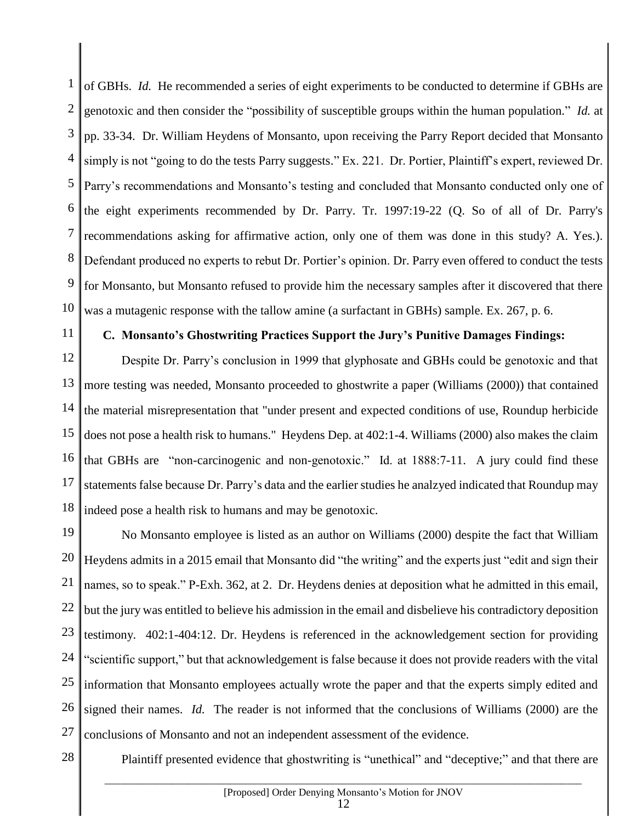1 2 3 4 5 6 7 8 9 10 of GBHs. *Id.* He recommended a series of eight experiments to be conducted to determine if GBHs are genotoxic and then consider the "possibility of susceptible groups within the human population." *Id.* at pp. 33-34. Dr. William Heydens of Monsanto, upon receiving the Parry Report decided that Monsanto simply is not "going to do the tests Parry suggests." Ex. 221. Dr. Portier, Plaintiff's expert, reviewed Dr. Parry's recommendations and Monsanto's testing and concluded that Monsanto conducted only one of the eight experiments recommended by Dr. Parry. Tr. 1997:19-22 (Q. So of all of Dr. Parry's recommendations asking for affirmative action, only one of them was done in this study? A. Yes.). Defendant produced no experts to rebut Dr. Portier's opinion. Dr. Parry even offered to conduct the tests for Monsanto, but Monsanto refused to provide him the necessary samples after it discovered that there was a mutagenic response with the tallow amine (a surfactant in GBHs) sample. Ex. 267, p. 6.

# 11

# **C. Monsanto's Ghostwriting Practices Support the Jury's Punitive Damages Findings:**

12 13 14 15 16 17 18 Despite Dr. Parry's conclusion in 1999 that glyphosate and GBHs could be genotoxic and that more testing was needed, Monsanto proceeded to ghostwrite a paper (Williams (2000)) that contained the material misrepresentation that "under present and expected conditions of use, Roundup herbicide does not pose a health risk to humans." Heydens Dep. at 402:1-4. Williams (2000) also makes the claim that GBHs are "non-carcinogenic and non-genotoxic." Id. at 1888:7-11. A jury could find these statements false because Dr. Parry's data and the earlier studies he analzyed indicated that Roundup may indeed pose a health risk to humans and may be genotoxic.

19 20 21 22 23 24 25 26 27 No Monsanto employee is listed as an author on Williams (2000) despite the fact that William Heydens admits in a 2015 email that Monsanto did "the writing" and the experts just "edit and sign their names, so to speak." P-Exh. 362, at 2. Dr. Heydens denies at deposition what he admitted in this email, but the jury was entitled to believe his admission in the email and disbelieve his contradictory deposition testimony. 402:1-404:12. Dr. Heydens is referenced in the acknowledgement section for providing "scientific support," but that acknowledgement is false because it does not provide readers with the vital information that Monsanto employees actually wrote the paper and that the experts simply edited and signed their names. *Id.* The reader is not informed that the conclusions of Williams (2000) are the conclusions of Monsanto and not an independent assessment of the evidence.

28

Plaintiff presented evidence that ghostwriting is "unethical" and "deceptive;" and that there are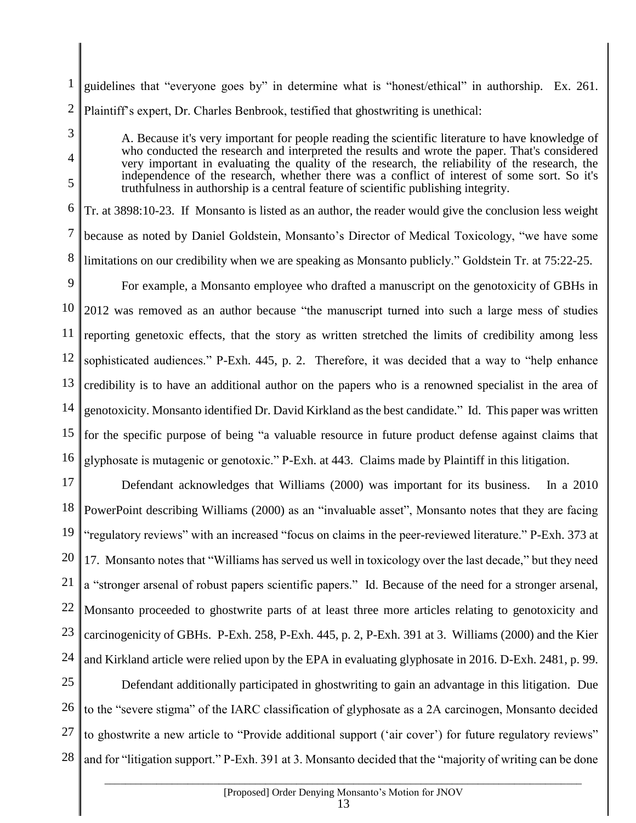1 2 guidelines that "everyone goes by" in determine what is "honest/ethical" in authorship. Ex. 261. Plaintiff's expert, Dr. Charles Benbrook, testified that ghostwriting is unethical:

3

4

5

A. Because it's very important for people reading the scientific literature to have knowledge of who conducted the research and interpreted the results and wrote the paper. That's considered very important in evaluating the quality of the research, the reliability of the research, the independence of the research, whether there was a conflict of interest of some sort. So it's truthfulness in authorship is a central feature of scientific publishing integrity.

6 7 8 Tr. at 3898:10-23. If Monsanto is listed as an author, the reader would give the conclusion less weight because as noted by Daniel Goldstein, Monsanto's Director of Medical Toxicology, "we have some limitations on our credibility when we are speaking as Monsanto publicly." Goldstein Tr. at 75:22-25.

9 10 11 12 13 14 15 16 For example, a Monsanto employee who drafted a manuscript on the genotoxicity of GBHs in 2012 was removed as an author because "the manuscript turned into such a large mess of studies reporting genetoxic effects, that the story as written stretched the limits of credibility among less sophisticated audiences." P-Exh. 445, p. 2. Therefore, it was decided that a way to "help enhance credibility is to have an additional author on the papers who is a renowned specialist in the area of genotoxicity. Monsanto identified Dr. David Kirkland as the best candidate." Id. This paper was written for the specific purpose of being "a valuable resource in future product defense against claims that glyphosate is mutagenic or genotoxic." P-Exh. at 443. Claims made by Plaintiff in this litigation.

17 18 19 20 21 22 23 24 Defendant acknowledges that Williams (2000) was important for its business. In a 2010 PowerPoint describing Williams (2000) as an "invaluable asset", Monsanto notes that they are facing "regulatory reviews" with an increased "focus on claims in the peer-reviewed literature." P-Exh. 373 at 17. Monsanto notes that "Williams has served us well in toxicology over the last decade," but they need a "stronger arsenal of robust papers scientific papers." Id. Because of the need for a stronger arsenal, Monsanto proceeded to ghostwrite parts of at least three more articles relating to genotoxicity and carcinogenicity of GBHs. P-Exh. 258, P-Exh. 445, p. 2, P-Exh. 391 at 3. Williams (2000) and the Kier and Kirkland article were relied upon by the EPA in evaluating glyphosate in 2016. D-Exh. 2481, p. 99.

25 26 27 28 Defendant additionally participated in ghostwriting to gain an advantage in this litigation. Due to the "severe stigma" of the IARC classification of glyphosate as a 2A carcinogen, Monsanto decided to ghostwrite a new article to "Provide additional support ('air cover') for future regulatory reviews" and for "litigation support." P-Exh. 391 at 3. Monsanto decided that the "majority of writing can be done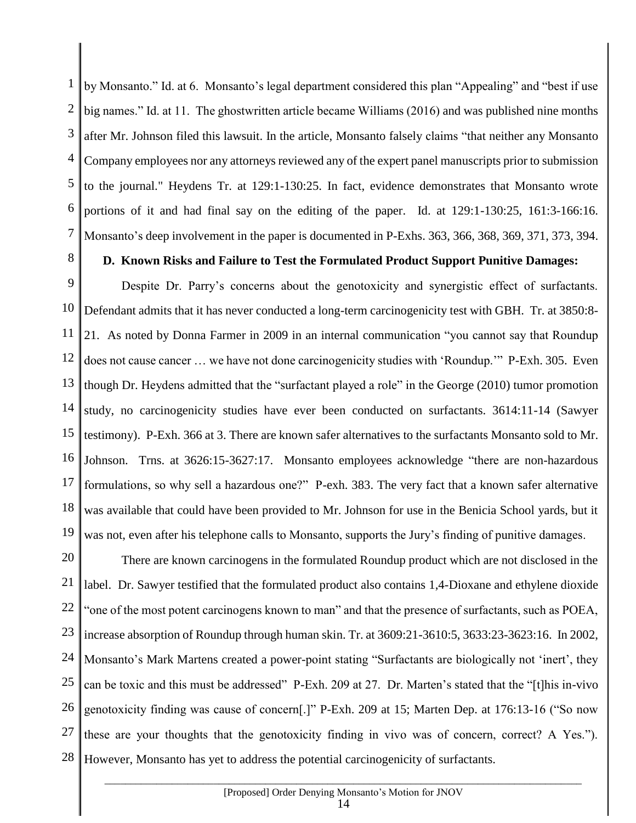1 2 3 4 5 6 7 by Monsanto." Id. at 6. Monsanto's legal department considered this plan "Appealing" and "best if use big names." Id. at 11. The ghostwritten article became Williams (2016) and was published nine months after Mr. Johnson filed this lawsuit. In the article, Monsanto falsely claims "that neither any Monsanto Company employees nor any attorneys reviewed any of the expert panel manuscripts prior to submission to the journal." Heydens Tr. at 129:1-130:25. In fact, evidence demonstrates that Monsanto wrote portions of it and had final say on the editing of the paper. Id. at 129:1-130:25, 161:3-166:16. Monsanto's deep involvement in the paper is documented in P-Exhs. 363, 366, 368, 369, 371, 373, 394.

8

# **D. Known Risks and Failure to Test the Formulated Product Support Punitive Damages:**

9 10 11 12 13 14 15 16 17 18 19 Despite Dr. Parry's concerns about the genotoxicity and synergistic effect of surfactants. Defendant admits that it has never conducted a long-term carcinogenicity test with GBH. Tr. at 3850:8- 21. As noted by Donna Farmer in 2009 in an internal communication "you cannot say that Roundup does not cause cancer … we have not done carcinogenicity studies with 'Roundup.'" P-Exh. 305. Even though Dr. Heydens admitted that the "surfactant played a role" in the George (2010) tumor promotion study, no carcinogenicity studies have ever been conducted on surfactants. 3614:11-14 (Sawyer testimony). P-Exh. 366 at 3. There are known safer alternatives to the surfactants Monsanto sold to Mr. Johnson. Trns. at 3626:15-3627:17. Monsanto employees acknowledge "there are non-hazardous formulations, so why sell a hazardous one?" P-exh. 383. The very fact that a known safer alternative was available that could have been provided to Mr. Johnson for use in the Benicia School yards, but it was not, even after his telephone calls to Monsanto, supports the Jury's finding of punitive damages.

20 21 22 23 24 25 26 27 28 There are known carcinogens in the formulated Roundup product which are not disclosed in the label. Dr. Sawyer testified that the formulated product also contains 1,4-Dioxane and ethylene dioxide "one of the most potent carcinogens known to man" and that the presence of surfactants, such as POEA, increase absorption of Roundup through human skin. Tr. at 3609:21-3610:5, 3633:23-3623:16. In 2002, Monsanto's Mark Martens created a power-point stating "Surfactants are biologically not 'inert', they can be toxic and this must be addressed" P-Exh. 209 at 27. Dr. Marten's stated that the "[t]his in-vivo genotoxicity finding was cause of concern[.]" P-Exh. 209 at 15; Marten Dep. at 176:13-16 ("So now these are your thoughts that the genotoxicity finding in vivo was of concern, correct? A Yes."). However, Monsanto has yet to address the potential carcinogenicity of surfactants.

#### $\_$  ,  $\_$  ,  $\_$  ,  $\_$  ,  $\_$  ,  $\_$  ,  $\_$  ,  $\_$  ,  $\_$  ,  $\_$  ,  $\_$  ,  $\_$  ,  $\_$  ,  $\_$  ,  $\_$  ,  $\_$  ,  $\_$  ,  $\_$  ,  $\_$  ,  $\_$  ,  $\_$  ,  $\_$  ,  $\_$  ,  $\_$  ,  $\_$  ,  $\_$  ,  $\_$  ,  $\_$  ,  $\_$  ,  $\_$  ,  $\_$  ,  $\_$  ,  $\_$  ,  $\_$  ,  $\_$  ,  $\_$  ,  $\_$  , [Proposed] Order Denying Monsanto's Motion for JNOV 14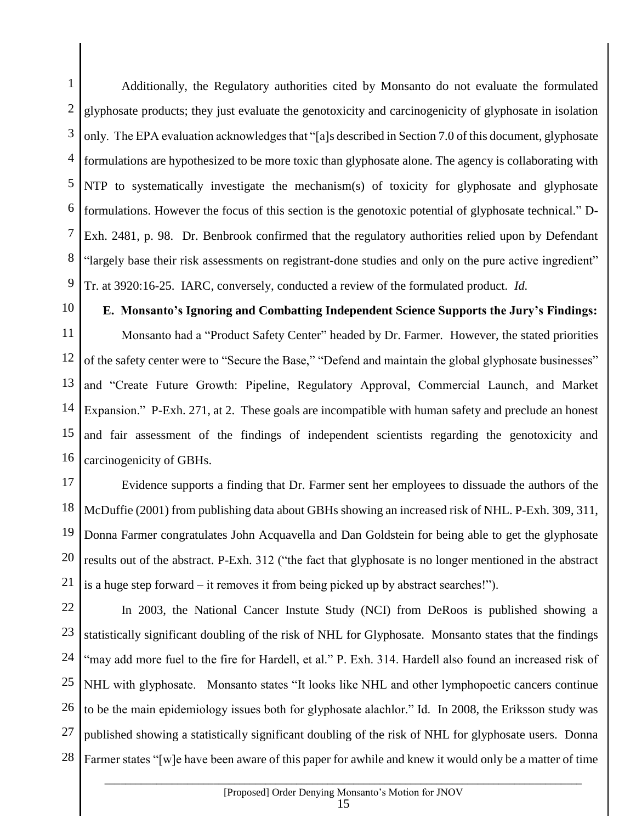1 2 3 4 5 6 7 8 9 Additionally, the Regulatory authorities cited by Monsanto do not evaluate the formulated glyphosate products; they just evaluate the genotoxicity and carcinogenicity of glyphosate in isolation only. The EPA evaluation acknowledges that "[a]s described in Section 7.0 of this document, glyphosate formulations are hypothesized to be more toxic than glyphosate alone. The agency is collaborating with NTP to systematically investigate the mechanism(s) of toxicity for glyphosate and glyphosate formulations. However the focus of this section is the genotoxic potential of glyphosate technical." D-Exh. 2481, p. 98. Dr. Benbrook confirmed that the regulatory authorities relied upon by Defendant "largely base their risk assessments on registrant-done studies and only on the pure active ingredient" Tr. at 3920:16-25. IARC, conversely, conducted a review of the formulated product. *Id.*

10

**E. Monsanto's Ignoring and Combatting Independent Science Supports the Jury's Findings:**

11 12 13 14 15 16 Monsanto had a "Product Safety Center" headed by Dr. Farmer. However, the stated priorities of the safety center were to "Secure the Base," "Defend and maintain the global glyphosate businesses" and "Create Future Growth: Pipeline, Regulatory Approval, Commercial Launch, and Market Expansion." P-Exh. 271, at 2. These goals are incompatible with human safety and preclude an honest and fair assessment of the findings of independent scientists regarding the genotoxicity and carcinogenicity of GBHs.

17 18 19 20 21 Evidence supports a finding that Dr. Farmer sent her employees to dissuade the authors of the McDuffie (2001) from publishing data about GBHs showing an increased risk of NHL. P-Exh. 309, 311, Donna Farmer congratulates John Acquavella and Dan Goldstein for being able to get the glyphosate results out of the abstract. P-Exh. 312 ("the fact that glyphosate is no longer mentioned in the abstract is a huge step forward – it removes it from being picked up by abstract searches!").

22 23 24 25 26 27 28 In 2003, the National Cancer Instute Study (NCI) from DeRoos is published showing a statistically significant doubling of the risk of NHL for Glyphosate. Monsanto states that the findings "may add more fuel to the fire for Hardell, et al." P. Exh. 314. Hardell also found an increased risk of NHL with glyphosate. Monsanto states "It looks like NHL and other lymphopoetic cancers continue to be the main epidemiology issues both for glyphosate alachlor." Id. In 2008, the Eriksson study was published showing a statistically significant doubling of the risk of NHL for glyphosate users. Donna Farmer states "[w]e have been aware of this paper for awhile and knew it would only be a matter of time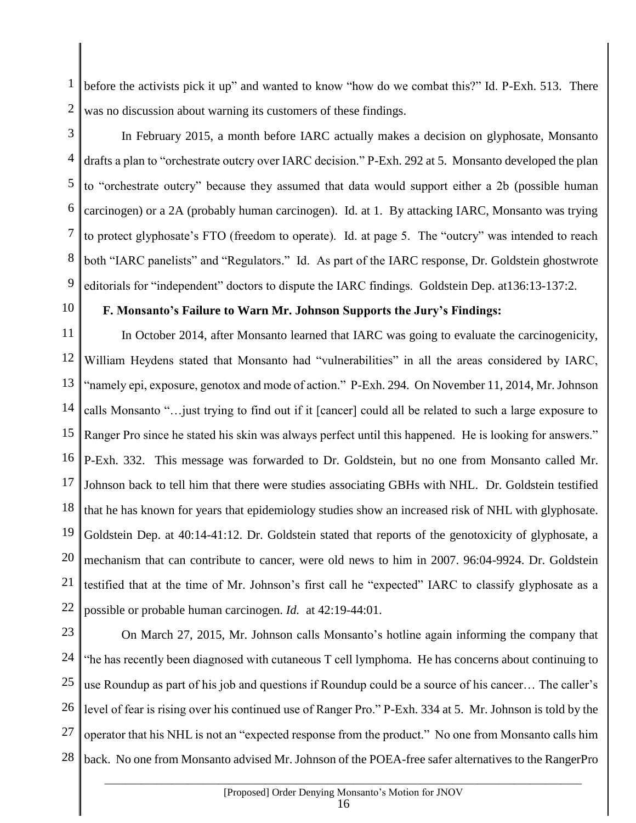1 2 before the activists pick it up" and wanted to know "how do we combat this?" Id. P-Exh. 513. There was no discussion about warning its customers of these findings.

3

4 5 6 7 8 9 In February 2015, a month before IARC actually makes a decision on glyphosate, Monsanto drafts a plan to "orchestrate outcry over IARC decision." P-Exh. 292 at 5. Monsanto developed the plan to "orchestrate outcry" because they assumed that data would support either a 2b (possible human carcinogen) or a 2A (probably human carcinogen). Id. at 1. By attacking IARC, Monsanto was trying to protect glyphosate's FTO (freedom to operate). Id. at page 5. The "outcry" was intended to reach both "IARC panelists" and "Regulators." Id. As part of the IARC response, Dr. Goldstein ghostwrote editorials for "independent" doctors to dispute the IARC findings. Goldstein Dep. at136:13-137:2.

# 10

## **F. Monsanto's Failure to Warn Mr. Johnson Supports the Jury's Findings:**

11 12 13 14 15 16 17 18 19 20 21 22 In October 2014, after Monsanto learned that IARC was going to evaluate the carcinogenicity, William Heydens stated that Monsanto had "vulnerabilities" in all the areas considered by IARC, "namely epi, exposure, genotox and mode of action." P-Exh. 294. On November 11, 2014, Mr. Johnson calls Monsanto "…just trying to find out if it [cancer] could all be related to such a large exposure to Ranger Pro since he stated his skin was always perfect until this happened. He is looking for answers." P-Exh. 332. This message was forwarded to Dr. Goldstein, but no one from Monsanto called Mr. Johnson back to tell him that there were studies associating GBHs with NHL. Dr. Goldstein testified that he has known for years that epidemiology studies show an increased risk of NHL with glyphosate. Goldstein Dep. at 40:14-41:12. Dr. Goldstein stated that reports of the genotoxicity of glyphosate, a mechanism that can contribute to cancer, were old news to him in 2007. 96:04-9924. Dr. Goldstein testified that at the time of Mr. Johnson's first call he "expected" IARC to classify glyphosate as a possible or probable human carcinogen. *Id.* at 42:19-44:01.

23 24 25 26 27 28 On March 27, 2015, Mr. Johnson calls Monsanto's hotline again informing the company that "he has recently been diagnosed with cutaneous T cell lymphoma. He has concerns about continuing to use Roundup as part of his job and questions if [Roundup could be a source of his cancer…](https://www.baumhedlundlaw.com/toxic-tort-law/monsanto-roundup-lawsuit/) The caller's level of fear is rising over his continued use of Ranger Pro." P-Exh. 334 at 5. Mr. Johnson is told by the operator that his NHL is not an "expected response from the product." No one from Monsanto calls him back. No one from Monsanto advised Mr. Johnson of the POEA-free safer alternatives to the RangerPro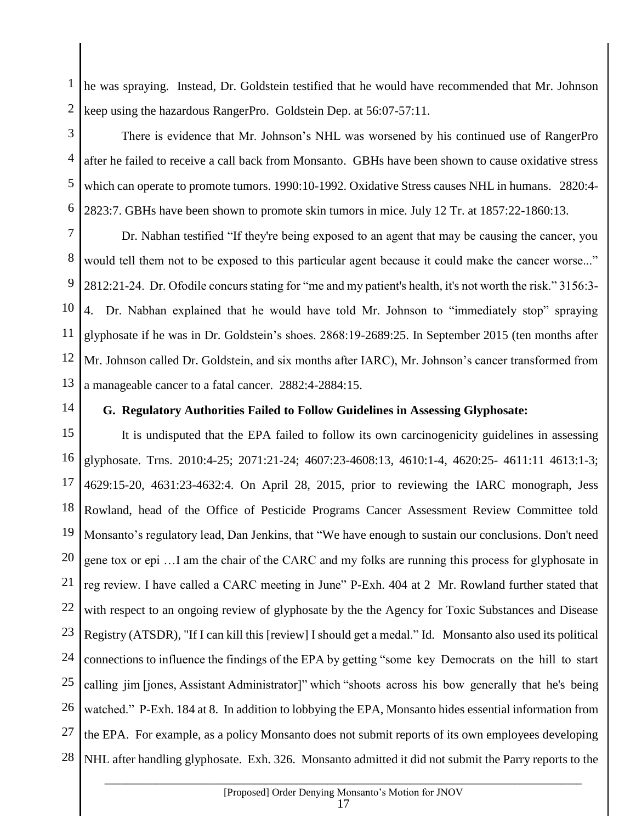1 2 he was spraying. Instead, Dr. Goldstein testified that he would have recommended that Mr. Johnson keep using the hazardous RangerPro. Goldstein Dep. at 56:07-57:11.

3 4 5 6 There is evidence that Mr. Johnson's NHL was worsened by his continued use of RangerPro after he failed to receive a call back from Monsanto. GBHs have been shown to cause oxidative stress which can operate to promote tumors. 1990:10-1992. Oxidative Stress causes NHL in humans. 2820:4- 2823:7. GBHs have been shown to promote skin tumors in mice. July 12 Tr. at 1857:22-1860:13.

7 8 9 10 11 12 13 Dr. Nabhan testified "If they're being exposed to an agent that may be causing the cancer, you would tell them not to be exposed to this particular agent because it could make the cancer worse..." 2812:21-24. Dr. Ofodile concurs stating for "me and my patient's health, it's not worth the risk." 3156:3- 4. Dr. Nabhan explained that he would have told Mr. Johnson to "immediately stop" spraying glyphosate if he was in Dr. Goldstein's shoes. 2868:19-2689:25. In September 2015 (ten months after Mr. Johnson called Dr. Goldstein, and six months after IARC), Mr. Johnson's cancer transformed from a manageable cancer to a fatal cancer. 2882:4-2884:15.

14

#### **G. Regulatory Authorities Failed to Follow Guidelines in Assessing Glyphosate:**

15 16 17 18 19 20 21 22 23 24 25 26 27 28 It is undisputed that the EPA failed to follow its own carcinogenicity guidelines in assessing glyphosate. Trns. 2010:4-25; 2071:21-24; 4607:23-4608:13, 4610:1-4, 4620:25- 4611:11 4613:1-3; 4629:15-20, 4631:23-4632:4. On April 28, 2015, prior to reviewing the IARC monograph, Jess Rowland, head of the Office of Pesticide Programs Cancer Assessment Review Committee told Monsanto's regulatory lead, Dan Jenkins, that "We have enough to sustain our conclusions. Don't need gene tox or epi …I am the chair of the CARC and my folks are running this process for glyphosate in reg review. I have called a CARC meeting in June" P-Exh. 404 at 2 Mr. Rowland further stated that with respect to an ongoing review of glyphosate by the the Agency for Toxic Substances and Disease Registry (ATSDR), "If I can kill this [review] I should get a medal." Id. Monsanto also used its political connections to influence the findings of the EPA by getting "some key Democrats on the hill to start calling jim [jones, Assistant Administrator]" which "shoots across his bow generally that he's being watched." P-Exh. 184 at 8. In addition to lobbying the EPA, Monsanto hides essential information from the EPA. For example, as a policy Monsanto does not submit reports of its own employees developing NHL after handling glyphosate. Exh. 326. Monsanto admitted it did not submit the Parry reports to the

#### $\_$  ,  $\_$  ,  $\_$  ,  $\_$  ,  $\_$  ,  $\_$  ,  $\_$  ,  $\_$  ,  $\_$  ,  $\_$  ,  $\_$  ,  $\_$  ,  $\_$  ,  $\_$  ,  $\_$  ,  $\_$  ,  $\_$  ,  $\_$  ,  $\_$  ,  $\_$  ,  $\_$  ,  $\_$  ,  $\_$  ,  $\_$  ,  $\_$  ,  $\_$  ,  $\_$  ,  $\_$  ,  $\_$  ,  $\_$  ,  $\_$  ,  $\_$  ,  $\_$  ,  $\_$  ,  $\_$  ,  $\_$  ,  $\_$  , [Proposed] Order Denying Monsanto's Motion for JNOV 17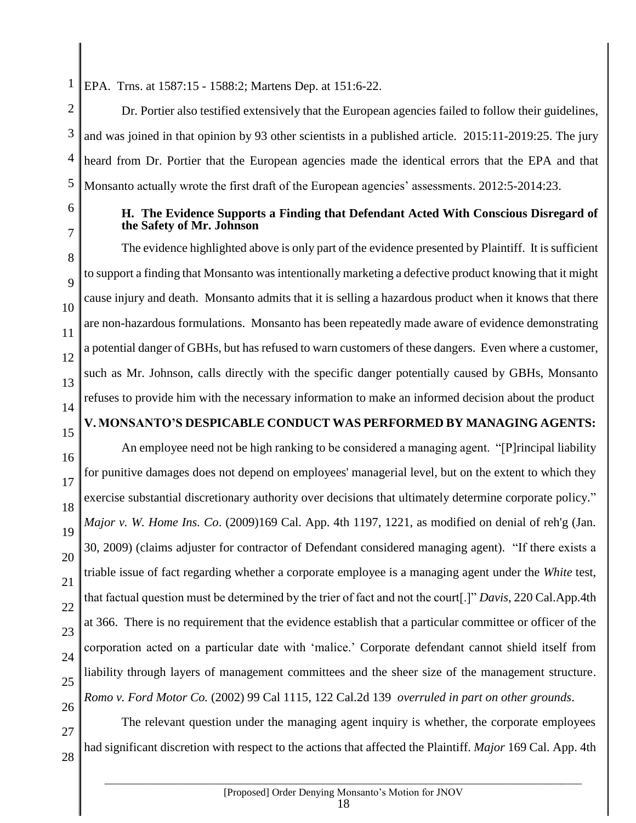1 EPA. Trns. at 1587:15 - 1588:2; Martens Dep. at 151:6-22.

2 3 4 5 Dr. Portier also testified extensively that the European agencies failed to follow their guidelines, and was joined in that opinion by 93 other scientists in a published article. 2015:11-2019:25. The jury heard from Dr. Portier that the European agencies made the identical errors that the EPA and that Monsanto actually wrote the first draft of the European agencies' assessments. 2012:5-2014:23.

6

7

8

9

10

11

12

13

14

15

27

28

#### **H. The Evidence Supports a Finding that Defendant Acted With Conscious Disregard of the Safety of Mr. Johnson**

The evidence highlighted above is only part of the evidence presented by Plaintiff. It is sufficient to support a finding that Monsanto was intentionally marketing a defective product knowing that it might cause injury and death. Monsanto admits that it is selling a hazardous product when it knows that there are non-hazardous formulations. Monsanto has been repeatedly made aware of evidence demonstrating a potential danger of GBHs, but has refused to warn customers of these dangers. Even where a customer, such as Mr. Johnson, calls directly with the specific danger potentially caused by GBHs, Monsanto refuses to provide him with the necessary information to make an informed decision about the product

## **V. MONSANTO'S DESPICABLE CONDUCT WAS PERFORMED BY MANAGING AGENTS:**

16 17 18 19 20 21 22 23 24 25 26 An employee need not be high ranking to be considered a managing agent. "[P]rincipal liability for punitive damages does not depend on employees' managerial level, but on the extent to which they exercise substantial discretionary authority over decisions that ultimately determine corporate policy." *Major v. W. Home Ins. Co*. (2009)169 Cal. App. 4th 1197, 1221, as modified on denial of reh'g (Jan. 30, 2009) (claims adjuster for contractor of Defendant considered managing agent). "If there exists a triable issue of fact regarding whether a corporate employee is a managing agent under the *White* test, that factual question must be determined by the trier of fact and not the court[.]" *Davis*, 220 Cal.App.4th at 366. There is no requirement that the evidence establish that a particular committee or officer of the corporation acted on a particular date with 'malice.' Corporate defendant cannot shield itself from liability through layers of management committees and the sheer size of the management structure. *Romo v. Ford Motor Co.* (2002) 99 Cal 1115, 122 Cal.2d 139 *overruled in part on other grounds*.

The relevant question under the managing agent inquiry is whether, the corporate employees had significant discretion with respect to the actions that affected the Plaintiff. *Major* 169 Cal. App. 4th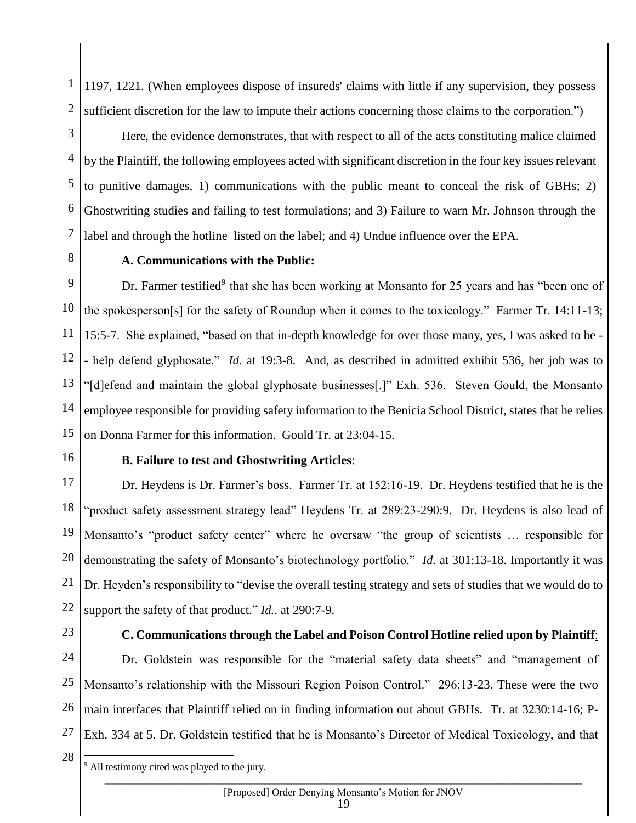1 2 1197, 1221. (When employees dispose of insureds' claims with little if any supervision, they possess sufficient discretion for the law to impute their actions concerning those claims to the corporation.")

3 4 5 6 7 Here, the evidence demonstrates, that with respect to all of the acts constituting malice claimed by the Plaintiff, the following employees acted with significant discretion in the four key issues relevant to punitive damages, 1) communications with the public meant to conceal the risk of GBHs; 2) Ghostwriting studies and failing to test formulations; and 3) Failure to warn Mr. Johnson through the label and through the hotline listed on the label; and 4) Undue influence over the EPA.

8

#### **A. Communications with the Public:**

9 10 11 12 13 14 15 Dr. Farmer testified<sup>9</sup> that she has been working at Monsanto for 25 years and has "been one of the spokesperson[s] for the safety of Roundup when it comes to the toxicology." Farmer Tr. 14:11-13; 15:5-7. She explained, "based on that in-depth knowledge for over those many, yes, I was asked to be - - help defend glyphosate." *Id.* at 19:3-8. And, as described in admitted exhibit 536, her job was to "[d]efend and maintain the global glyphosate businesses[.]" Exh. 536. Steven Gould, the Monsanto employee responsible for providing safety information to the Benicia School District, states that he relies on Donna Farmer for this information. Gould Tr. at 23:04-15.

16

#### **B. Failure to test and Ghostwriting Articles**:

17 18 19 20 21 22 Dr. Heydens is Dr. Farmer's boss. Farmer Tr. at 152:16-19. Dr. Heydens testified that he is the "product safety assessment strategy lead" Heydens Tr. at 289:23-290:9. Dr. Heydens is also lead of Monsanto's "product safety center" where he oversaw "the group of scientists … responsible for demonstrating the safety of Monsanto's biotechnology portfolio." *Id.* at 301:13-18. Importantly it was Dr. Heyden's responsibility to "devise the overall testing strategy and sets of studies that we would do to support the safety of that product." *Id.*. at 290:7-9.

23

#### **C. Communications through the Label and Poison Control Hotline relied upon by Plaintiff**:

24 25 26 27 Dr. Goldstein was responsible for the "material safety data sheets" and "management of Monsanto's relationship with the Missouri Region Poison Control." 296:13-23. These were the two main interfaces that Plaintiff relied on in finding information out about GBHs. Tr. at 3230:14-16; P-Exh. 334 at 5. Dr. Goldstein testified that he is Monsanto's Director of Medical Toxicology, and that

28

 $9$  All testimony cited was played to the jury.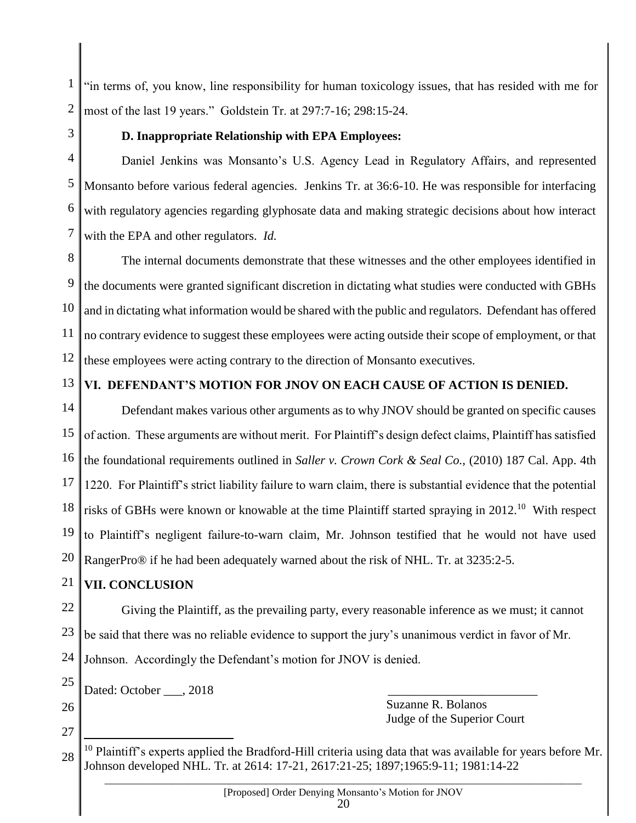1 2 "in terms of, you know, line responsibility for human toxicology issues, that has resided with me for most of the last 19 years." Goldstein Tr. at 297:7-16; 298:15-24.

3

### **D. Inappropriate Relationship with EPA Employees:**

4 5 6 7 Daniel Jenkins was Monsanto's U.S. Agency Lead in Regulatory Affairs, and represented Monsanto before various federal agencies. Jenkins Tr. at 36:6-10. He was responsible for interfacing with regulatory agencies regarding glyphosate data and making strategic decisions about how interact with the EPA and other regulators. *Id.*

8 9 10 11 12 The internal documents demonstrate that these witnesses and the other employees identified in the documents were granted significant discretion in dictating what studies were conducted with GBHs and in dictating what information would be shared with the public and regulators. Defendant has offered no contrary evidence to suggest these employees were acting outside their scope of employment, or that these employees were acting contrary to the direction of Monsanto executives.

13

## **VI. DEFENDANT'S MOTION FOR JNOV ON EACH CAUSE OF ACTION IS DENIED.**

14 15 16 17 18 19 20 Defendant makes various other arguments as to why JNOV should be granted on specific causes of action. These arguments are without merit. For Plaintiff's design defect claims, Plaintiff has satisfied the foundational requirements outlined in *Saller v. Crown Cork & Seal Co.,* (2010) 187 Cal. App. 4th 1220. For Plaintiff's strict liability failure to warn claim, there is substantial evidence that the potential risks of GBHs were known or knowable at the time Plaintiff started spraying in  $2012$ .<sup>10</sup> With respect to Plaintiff's negligent failure-to-warn claim, Mr. Johnson testified that he would not have used RangerPro® if he had been adequately warned about the risk of NHL. Tr. at 3235:2-5.

21

## **VII. CONCLUSION**

22 23 Giving the Plaintiff, as the prevailing party, every reasonable inference as we must; it cannot be said that there was no reliable evidence to support the jury's unanimous verdict in favor of Mr.

24 Johnson. Accordingly the Defendant's motion for JNOV is denied.

25 Dated: October , 2018

26

27

 $\overline{a}$ 

 Suzanne R. Bolanos Judge of the Superior Court

<sup>28</sup>  $10$  Plaintiff's experts applied the Bradford-Hill criteria using data that was available for years before Mr. Johnson developed NHL. Tr. at 2614: 17-21, 2617:21-25; 1897;1965:9-11; 1981:14-22